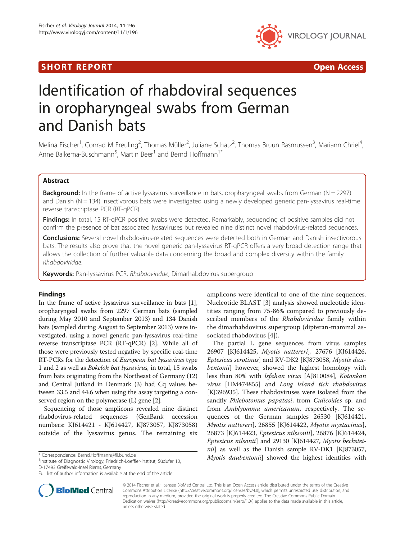## SHORT REPORT AND RESERVE THE SHORT CONTROL CONTROL CONTROL CONTROL CONTROL CONTROL CONTROL CONTROL CONTROL CONTROL CONTROL CONTROL CONTROL CONTROL CONTROL CONTROL CONTROL CONTROL CONTROL CONTROL CONTROL CONTROL CONTROL CON



# Identification of rhabdoviral sequences in oropharyngeal swabs from German and Danish bats

Melina Fischer<sup>1</sup>, Conrad M Freuling<sup>2</sup>, Thomas Müller<sup>2</sup>, Juliane Schatz<sup>2</sup>, Thomas Bruun Rasmussen<sup>3</sup>, Mariann Chriel<sup>4</sup> , Anne Balkema-Buschmann<sup>5</sup>, Martin Beer<sup>1</sup> and Bernd Hoffmann<sup>1\*</sup>

## Abstract

**Background:** In the frame of active lyssavirus surveillance in bats, oropharyngeal swabs from German ( $N = 2297$ ) and Danish (N = 134) insectivorous bats were investigated using a newly developed generic pan-lyssavirus real-time reverse transcriptase PCR (RT-qPCR).

Findings: In total, 15 RT-qPCR positive swabs were detected. Remarkably, sequencing of positive samples did not confirm the presence of bat associated lyssaviruses but revealed nine distinct novel rhabdovirus-related sequences.

Conclusions: Several novel rhabdovirus-related sequences were detected both in German and Danish insectivorous bats. The results also prove that the novel generic pan-lyssavirus RT-qPCR offers a very broad detection range that allows the collection of further valuable data concerning the broad and complex diversity within the family Rhabdoviridae.

Keywords: Pan-lyssavirus PCR, Rhabdoviridae, Dimarhabdovirus supergroup

### Findings

In the frame of active lyssavirus surveillance in bats [[1](#page-3-0)], oropharyngeal swabs from 2297 German bats (sampled during May 2010 and September 2013) and 134 Danish bats (sampled during August to September 2013) were investigated, using a novel generic pan-lyssavirus real-time reverse transcriptase PCR (RT-qPCR) [\[2\]](#page-3-0). While all of those were previously tested negative by specific real-time RT-PCRs for the detection of European bat lyssavirus type 1 and 2 as well as Bokeloh bat lyssavirus, in total, 15 swabs from bats originating from the Northeast of Germany (12) and Central Jutland in Denmark (3) had Cq values between 33.5 and 44.6 when using the assay targeting a conserved region on the polymerase (L) gene [[2\]](#page-3-0).

Sequencing of those amplicons revealed nine distinct rhabdovirus-related sequences (GenBank accession numbers: KJ614421 - KJ614427, KJ873057, KJ873058) outside of the lyssavirus genus. The remaining six

<sup>1</sup>Institute of Diagnostic Virology, Friedrich-Loeffler-Institut, Südufer 10, D-17493 Greifswald-Insel Riems, Germany



The partial L gene sequences from virus samples 26907 [KJ614425, Myotis nattereri], 27676 [KJ614426, Eptesicus serotinus] and RV-DK2 [KJ873058, Myotis daubentonii] however, showed the highest homology with less than 80% with Isfahan virus [AJ810084], Kotonkan virus [HM474855] and Long island tick rhabdovirus [KJ396935]. These rhabdoviruses were isolated from the sandfly Phlebotomus papatasi, from Culicoides sp. and from Amblyomma americanum, respectively. The sequences of the German samples 26530 [KJ614421, Myotis nattereri], 26855 [KJ614422, Myotis mystacinus], 26873 [KJ614423, Eptesicus nilssonii], 26876 [KJ614424, Eptesicus nilsonii] and 29130 [KJ614427, Myotis bechstei $niii$  as well as the Danish sample RV-DK1 [KJ873057, \* Correspondence: [Bernd.Hoffmann@fli.bund.de](mailto:Bernd.Hoffmann@fli.bund.de) *Myotis daubentonii*] showed the highest identities with



© 2014 Fischer et al.; licensee BioMed Central Ltd. This is an Open Access article distributed under the terms of the Creative Commons Attribution License [\(http://creativecommons.org/licenses/by/4.0\)](http://creativecommons.org/licenses/by/4.0), which permits unrestricted use, distribution, and reproduction in any medium, provided the original work is properly credited. The Creative Commons Public Domain Dedication waiver [\(http://creativecommons.org/publicdomain/zero/1.0/](http://creativecommons.org/publicdomain/zero/1.0/)) applies to the data made available in this article, unless otherwise stated.

Full list of author information is available at the end of the article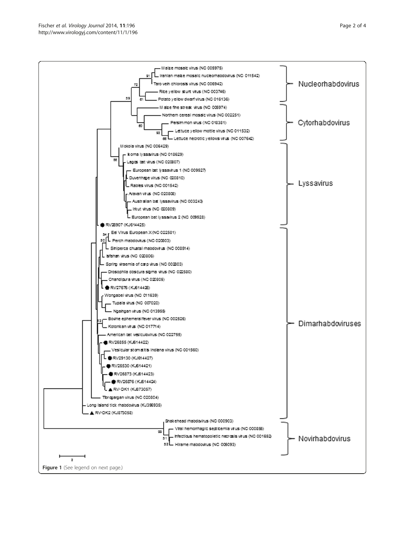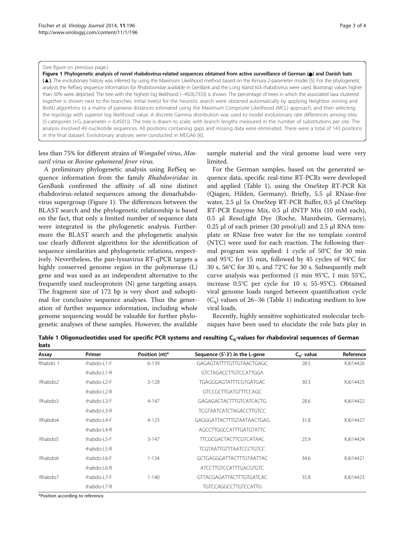#### (See figure on previous page.)

Figure 1 Phylogenetic analysis of novel rhabdovirus-related sequences obtained from active surveillance of German ( $\bullet$ ) and Danish bats (▲). The evolutionary history was inferred by using the Maximum Likelihood method based on the Kimura 2-parameter model [[5](#page-3-0)]. For the phylogenetic analysis the RefSeq sequence information for Rhabdoviridae available in GenBank and the Long Island tick rhabdovirus were used. Bootstrap values higher than 50% were depicted. The tree with the highest log likelihood (−4926,7333) is shown. The percentage of trees in which the associated taxa clustered together is shown next to the branches. Initial tree(s) for the heuristic search were obtained automatically by applying Neighbor-Joining and BioNJ algorithms to a matrix of pairwise distances estimated using the Maximum Composite Likelihood (MCL) approach, and then selecting the topology with superior log likelihood value. A discrete Gamma distribution was used to model evolutionary rate differences among sites (5 categories (+G, parameter = 0,4501)). The tree is drawn to scale, with branch lengths measured in the number of substitutions per site. The analysis involved 49 nucleotide sequences. All positions containing gaps and missing data were eliminated. There were a total of 143 positions in the final dataset. Evolutionary analyses were conducted in MEGA6 [[6\]](#page-3-0).

## less than 75% for different strains of Wongabel virus, Mossuril virus or Bovine ephemeral fever virus.

A preliminary phylogenetic analysis using RefSeq sequence information from the family Rhabdoviridae in GenBank confirmed the affinity of all nine distinct rhabdovirus-related sequences among the dimarhabdovirus supergroup (Figure 1). The differences between the BLAST search and the phylogenetic relationship is based on the fact, that only a limited number of sequence data were integrated in the phylogenetic analysis. Furthermore the BLAST search and the phylogenetic analysis use clearly different algorithms for the identification of sequence similarities and phylogenetic relations, respectively. Nevertheless, the pan-lyssavirus RT-qPCR targets a highly conserved genome region in the polymerase (L) gene and was used as an independent alternative to the frequently used nucleoprotein (N) gene targeting assays. The fragment size of 172 bp is very short and suboptimal for conclusive sequence analyses. Thus the generation of further sequence information, including whole genome sequencing would be valuable for further phylogenetic analyses of these samples. However, the available

sample material and the viral genome load were very limited.

For the German samples, based on the generated sequence data, specific real-time RT-PCRs were developed and applied (Table 1), using the OneStep RT-PCR Kit (Qiagen, Hilden, Germany). Briefly, 5.5 μl RNase-free water, 2.5 μl 5x OneStep RT-PCR Buffer, 0.5 μl OneStep RT-PCR Enzyme Mix, 0.5 μl dNTP Mix (10 mM each), 0.5 μl ResoLight Dye (Roche, Mannheim, Germany), 0.25 μl of each primer (20 pmol/μl) and 2.5 μl RNA template or RNase free water for the no template control (NTC) were used for each reaction. The following thermal program was applied: 1 cycle of 50°C for 30 min and 95°C for 15 min, followed by 45 cycles of 94°C for 30 s, 56°C for 30 s, and 72°C for 30 s. Subsequently melt curve analysis was performed (1 min 95°C, 1 min 55°C, increase 0.5°C per cycle for 10 s; 55-95°C). Obtained viral genome loads ranged between quantification cycle  $(C_{\alpha})$  values of 26–36 (Table 1) indicating medium to low viral loads.

Recently, highly sensitive sophisticated molecular techniques have been used to elucidate the role bats play in

Table 1 Oligonucleotides used for specific PCR systems and resulting C<sub>a</sub>-values for rhabdoviral sequences of German bats

| Assay               | Primer            | Position (nt)* | Sequence (5'-3') in the L-gene  | $C_{\alpha}$ - value | Reference |
|---------------------|-------------------|----------------|---------------------------------|----------------------|-----------|
| Rhabdo 1            | rhabdo-L1-F       | $6 - 139$      | GAGAGTATTTTGTTGTAACTGAGC        | 28.5                 | KJ614426  |
|                     | rhabdo-L1-R       |                | <b>GTCTAGACCTTGTCCATTGGA</b>    |                      |           |
| Rhabdo <sub>2</sub> | $r$ habdo-l $2-F$ | $3 - 128$      | TGAGGGAGTATTTCGTGATGAC          | 30.3                 | KI614425  |
|                     | rhabdo-L2-R       |                | <b>GTCCGCTTGATGTTTCCAGC</b>     |                      |           |
| Rhabdo3             | rhabdo-L3-F       | $4 - 147$      | GAGAGACTACTTTGTCATCACTG         | 28.6                 | KJ614422  |
|                     | rhabdo-L3-R       |                | <b>TCGTAATCATCTAGACCTTGTCC</b>  |                      |           |
| Rhabdo4             | rhabdo-L4-F       | $4 - 123$      | GAGGGATTACTTTGTAATAACTGAG       | 31.8                 | KJ614427  |
|                     | rhabdo-L4-R       |                | AGCCTTGGCCATTTGATGTATTC         |                      |           |
| Rhabdo <sub>5</sub> | rhabdo-L5-F       | $3 - 147$      | <b>TTCGCGACTACTTCGTCATAAC</b>   | 25.9                 | KJ614424  |
|                     | rhabdo-L5-R       |                | <b>TCGTAATTGTTTAATCCCTGTCC</b>  |                      |           |
| Rhabdo6             | rhabdo-L6-F       | $1 - 134$      | GCTGAGGGATTACTTTGTAATTAC        | 34.6                 | KJ614421  |
|                     | rhabdo-L6-R       |                | <b>ATCCTTGTCCATTTGACGTGTC</b>   |                      |           |
| Rhabdo7             | rhabdo-L7-F       | $1 - 140$      | <b>GTTACGAGATTACTTTGTGATCAC</b> | 35.8                 | KJ614423  |
|                     | rhabdo-L7-R       |                | <b>TGTCCAGGCCTTGTCCATTG</b>     |                      |           |

\*Position according to reference.